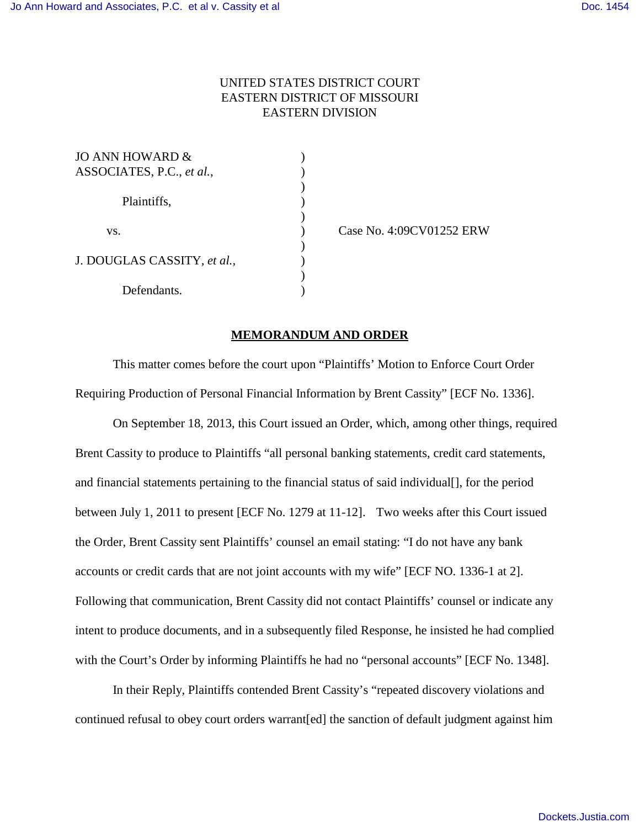## UNITED STATES DISTRICT COURT EASTERN DISTRICT OF MISSOURI EASTERN DIVISION

)

)

 $\mathcal{L}$ 

)

| JO ANN HOWARD &             |  |
|-----------------------------|--|
| ASSOCIATES, P.C., et al.,   |  |
|                             |  |
| Plaintiffs,                 |  |
|                             |  |
| VS.                         |  |
|                             |  |
| J. DOUGLAS CASSITY, et al., |  |
|                             |  |
| Defendants.                 |  |

) Case No. 4:09CV01252 ERW

## **MEMORANDUM AND ORDER**

This matter comes before the court upon "Plaintiffs' Motion to Enforce Court Order Requiring Production of Personal Financial Information by Brent Cassity" [ECF No. 1336].

On September 18, 2013, this Court issued an Order, which, among other things, required Brent Cassity to produce to Plaintiffs "all personal banking statements, credit card statements, and financial statements pertaining to the financial status of said individual[], for the period between July 1, 2011 to present [ECF No. 1279 at 11-12]. Two weeks after this Court issued the Order, Brent Cassity sent Plaintiffs' counsel an email stating: "I do not have any bank accounts or credit cards that are not joint accounts with my wife" [ECF NO. 1336-1 at 2]. Following that communication, Brent Cassity did not contact Plaintiffs' counsel or indicate any intent to produce documents, and in a subsequently filed Response, he insisted he had complied with the Court's Order by informing Plaintiffs he had no "personal accounts" [ECF No. 1348].

In their Reply, Plaintiffs contended Brent Cassity's "repeated discovery violations and continued refusal to obey court orders warrant[ed] the sanction of default judgment against him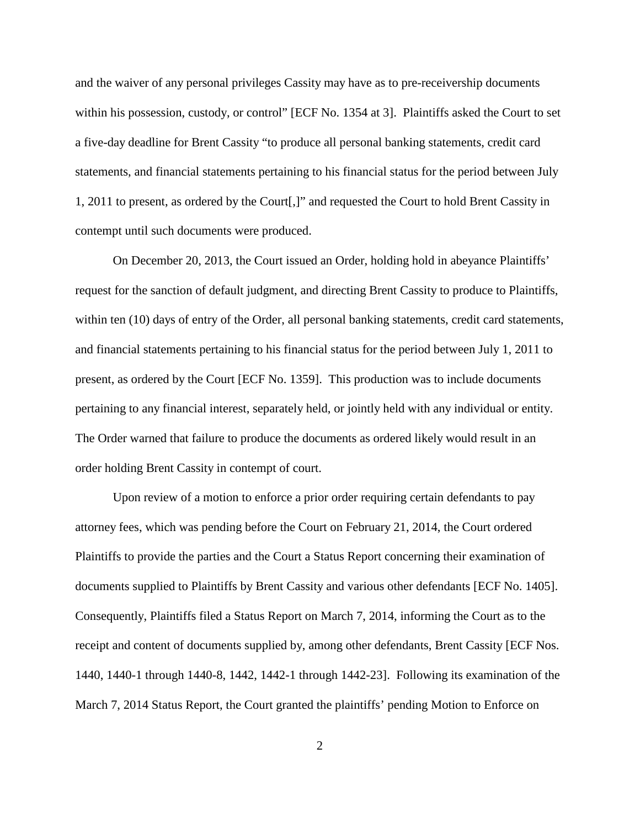and the waiver of any personal privileges Cassity may have as to pre-receivership documents within his possession, custody, or control" [ECF No. 1354 at 3]. Plaintiffs asked the Court to set a five-day deadline for Brent Cassity "to produce all personal banking statements, credit card statements, and financial statements pertaining to his financial status for the period between July 1, 2011 to present, as ordered by the Court[,]" and requested the Court to hold Brent Cassity in contempt until such documents were produced.

On December 20, 2013, the Court issued an Order, holding hold in abeyance Plaintiffs' request for the sanction of default judgment, and directing Brent Cassity to produce to Plaintiffs, within ten (10) days of entry of the Order, all personal banking statements, credit card statements, and financial statements pertaining to his financial status for the period between July 1, 2011 to present, as ordered by the Court [ECF No. 1359]. This production was to include documents pertaining to any financial interest, separately held, or jointly held with any individual or entity. The Order warned that failure to produce the documents as ordered likely would result in an order holding Brent Cassity in contempt of court.

Upon review of a motion to enforce a prior order requiring certain defendants to pay attorney fees, which was pending before the Court on February 21, 2014, the Court ordered Plaintiffs to provide the parties and the Court a Status Report concerning their examination of documents supplied to Plaintiffs by Brent Cassity and various other defendants [ECF No. 1405]. Consequently, Plaintiffs filed a Status Report on March 7, 2014, informing the Court as to the receipt and content of documents supplied by, among other defendants, Brent Cassity [ECF Nos. 1440, 1440-1 through 1440-8, 1442, 1442-1 through 1442-23]. Following its examination of the March 7, 2014 Status Report, the Court granted the plaintiffs' pending Motion to Enforce on